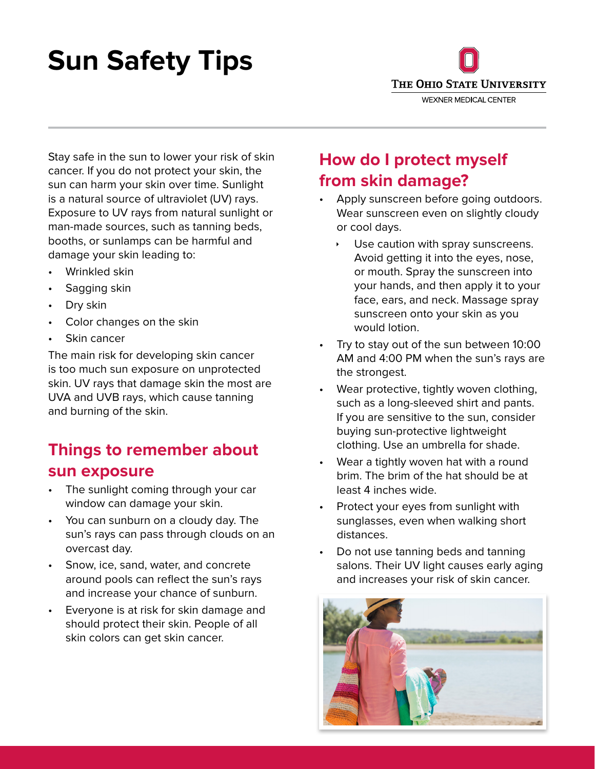# **Sun Safety Tips**



Stay safe in the sun to lower your risk of skin cancer. If you do not protect your skin, the sun can harm your skin over time. Sunlight is a natural source of ultraviolet (UV) rays. Exposure to UV rays from natural sunlight or man-made sources, such as tanning beds, booths, or sunlamps can be harmful and damage your skin leading to:

- Wrinkled skin
- Sagging skin
- Dry skin
- Color changes on the skin
- Skin cancer

The main risk for developing skin cancer is too much sun exposure on unprotected skin. UV rays that damage skin the most are UVA and UVB rays, which cause tanning and burning of the skin.

## **Things to remember about sun exposure**

- The sunlight coming through your car window can damage your skin.
- You can sunburn on a cloudy day. The sun's rays can pass through clouds on an overcast day.
- Snow, ice, sand, water, and concrete around pools can reflect the sun's rays and increase your chance of sunburn.
- Everyone is at risk for skin damage and should protect their skin. People of all skin colors can get skin cancer.

## **How do I protect myself from skin damage?**

- Apply sunscreen before going outdoors. Wear sunscreen even on slightly cloudy or cool days.
	- Use caution with spray sunscreens. Avoid getting it into the eyes, nose, or mouth. Spray the sunscreen into your hands, and then apply it to your face, ears, and neck. Massage spray sunscreen onto your skin as you would lotion.
- Try to stay out of the sun between 10:00 AM and 4:00 PM when the sun's rays are the strongest.
- Wear protective, tightly woven clothing, such as a long-sleeved shirt and pants. If you are sensitive to the sun, consider buying sun-protective lightweight clothing. Use an umbrella for shade.
- Wear a tightly woven hat with a round brim. The brim of the hat should be at least 4 inches wide.
- Protect your eyes from sunlight with sunglasses, even when walking short distances.
- Do not use tanning beds and tanning salons. Their UV light causes early aging and increases your risk of skin cancer.